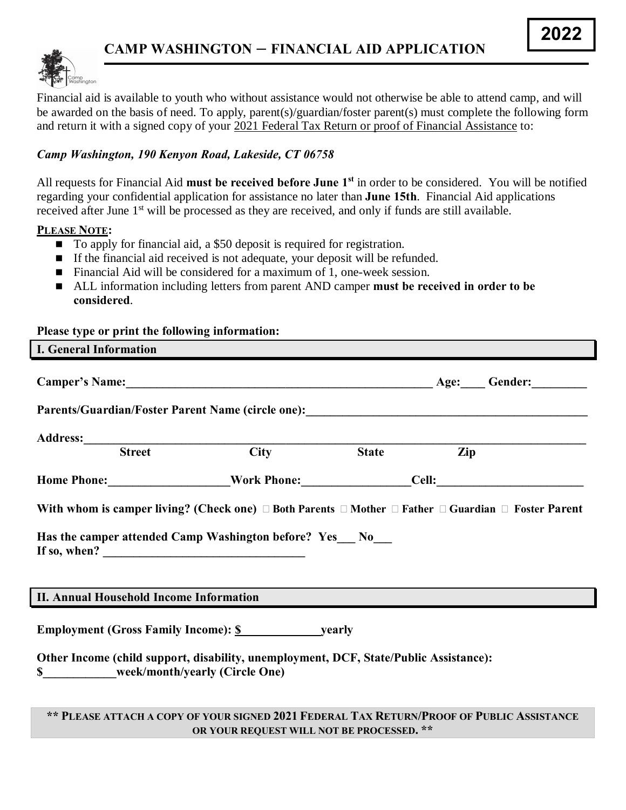

Financial aid is available to youth who without assistance would not otherwise be able to attend camp, and will be awarded on the basis of need. To apply, parent(s)/guardian/foster parent(s) must complete the following form and return it with a signed copy of your 2021 Federal Tax Return or proof of Financial Assistance to:

# *Camp Washington, 190 Kenyon Road, Lakeside, CT 06758*

All requests for Financial Aid **must be received before June 1st** in order to be considered. You will be notified regarding your confidential application for assistance no later than **June 15th**. Financial Aid applications received after June 1<sup>st</sup> will be processed as they are received, and only if funds are still available.

## **PLEASE NOTE:**

- To apply for financial aid, a \$50 deposit is required for registration.
- $\blacksquare$  If the financial aid received is not adequate, your deposit will be refunded.
- Financial Aid will be considered for a maximum of 1, one-week session.
- n ALL information including letters from parent AND camper **must be received in order to be considered**.

### **Please type or print the following information:**

| <b>I. General Information</b> |                                                                                         |                                                                                                                                                                                                                                                                     |                                                                                                                  |  |
|-------------------------------|-----------------------------------------------------------------------------------------|---------------------------------------------------------------------------------------------------------------------------------------------------------------------------------------------------------------------------------------------------------------------|------------------------------------------------------------------------------------------------------------------|--|
|                               |                                                                                         |                                                                                                                                                                                                                                                                     |                                                                                                                  |  |
|                               |                                                                                         |                                                                                                                                                                                                                                                                     |                                                                                                                  |  |
|                               |                                                                                         | Address: Street City State Zip                                                                                                                                                                                                                                      |                                                                                                                  |  |
|                               |                                                                                         |                                                                                                                                                                                                                                                                     |                                                                                                                  |  |
|                               |                                                                                         |                                                                                                                                                                                                                                                                     |                                                                                                                  |  |
|                               | If so, when? $\qquad \qquad$                                                            | With whom is camper living? (Check one) $\check{\phantom{a}}$ Both Parents $\check{\phantom{a}}$ Mother $\check{\phantom{a}}$ Father $\check{\phantom{a}}$ Guardian $\check{\phantom{a}}$ Foster Parent<br>Has the camper attended Camp Washington before? Yes_ No_ |                                                                                                                  |  |
|                               | <b>II. Annual Household Income Information</b>                                          |                                                                                                                                                                                                                                                                     | and the control of the control of the control of the control of the control of the control of the control of the |  |
|                               | <b>Employment (Gross Family Income): \$</b> yearly<br>\$ week/month/yearly (Circle One) | Other Income (child support, disability, unemployment, DCF, State/Public Assistance):                                                                                                                                                                               |                                                                                                                  |  |

#### **\*\* PLEASE ATTACH A COPY OF YOUR SIGNED 2021 FEDERAL TAX RETURN/PROOF OF PUBLIC ASSISTANCE OR YOUR REQUEST WILL NOT BE PROCESSED. \*\***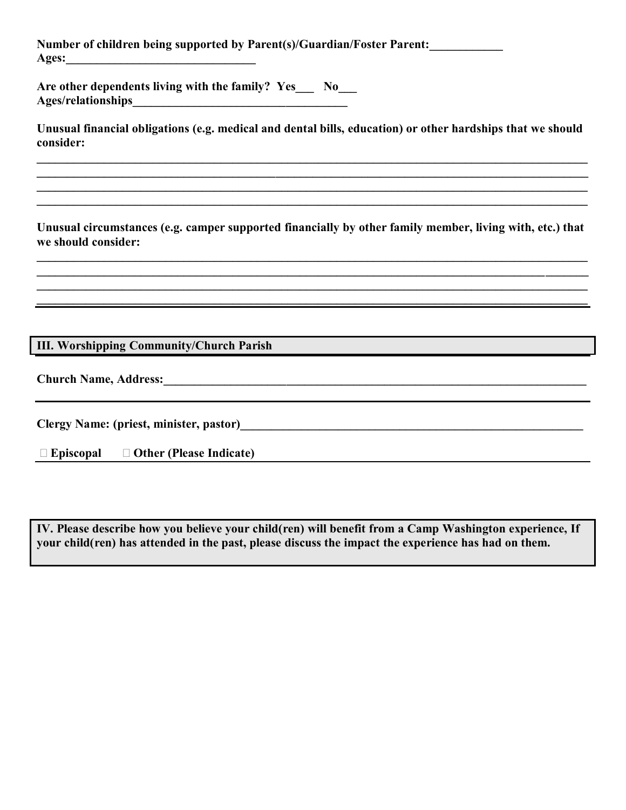Number of children being supported by Parent(s)/Guardian/Foster Parent: **Ages:\_\_\_\_\_\_\_\_\_\_\_\_\_\_\_\_\_\_\_\_\_\_\_\_\_\_\_\_\_\_\_**

Are other dependents living with the family? Yes No **Ages/relationships\_\_\_\_\_\_\_\_\_\_\_\_\_\_\_\_\_\_\_\_\_\_\_\_\_\_\_\_\_\_\_\_\_\_\_**

**Unusual financial obligations (e.g. medical and dental bills, education) or other hardships that we should consider:**

 $\mathcal{L}_\mathcal{L} = \mathcal{L}_\mathcal{L} = \mathcal{L}_\mathcal{L} = \mathcal{L}_\mathcal{L} = \mathcal{L}_\mathcal{L} = \mathcal{L}_\mathcal{L} = \mathcal{L}_\mathcal{L} = \mathcal{L}_\mathcal{L} = \mathcal{L}_\mathcal{L} = \mathcal{L}_\mathcal{L} = \mathcal{L}_\mathcal{L} = \mathcal{L}_\mathcal{L} = \mathcal{L}_\mathcal{L} = \mathcal{L}_\mathcal{L} = \mathcal{L}_\mathcal{L} = \mathcal{L}_\mathcal{L} = \mathcal{L}_\mathcal{L}$ **\_\_\_\_\_\_\_\_\_\_\_\_\_\_\_\_\_\_\_\_\_\_\_\_\_\_\_\_\_\_\_\_\_\_\_\_\_\_\_\_\_\_\_\_\_\_\_\_\_\_\_\_\_\_\_\_\_\_\_\_\_\_\_\_\_\_\_\_\_\_\_\_\_\_\_\_\_\_\_\_\_\_\_\_\_\_\_\_\_\_**  $\mathcal{L}_\mathcal{L} = \mathcal{L}_\mathcal{L} = \mathcal{L}_\mathcal{L} = \mathcal{L}_\mathcal{L} = \mathcal{L}_\mathcal{L} = \mathcal{L}_\mathcal{L} = \mathcal{L}_\mathcal{L} = \mathcal{L}_\mathcal{L} = \mathcal{L}_\mathcal{L} = \mathcal{L}_\mathcal{L} = \mathcal{L}_\mathcal{L} = \mathcal{L}_\mathcal{L} = \mathcal{L}_\mathcal{L} = \mathcal{L}_\mathcal{L} = \mathcal{L}_\mathcal{L} = \mathcal{L}_\mathcal{L} = \mathcal{L}_\mathcal{L}$  $\mathcal{L}_\mathcal{L} = \mathcal{L}_\mathcal{L} = \mathcal{L}_\mathcal{L} = \mathcal{L}_\mathcal{L} = \mathcal{L}_\mathcal{L} = \mathcal{L}_\mathcal{L} = \mathcal{L}_\mathcal{L} = \mathcal{L}_\mathcal{L} = \mathcal{L}_\mathcal{L} = \mathcal{L}_\mathcal{L} = \mathcal{L}_\mathcal{L} = \mathcal{L}_\mathcal{L} = \mathcal{L}_\mathcal{L} = \mathcal{L}_\mathcal{L} = \mathcal{L}_\mathcal{L} = \mathcal{L}_\mathcal{L} = \mathcal{L}_\mathcal{L}$ 

**Unusual circumstances (e.g. camper supported financially by other family member, living with, etc.) that we should consider:** 

 $\mathcal{L}_\mathcal{L} = \mathcal{L}_\mathcal{L} = \mathcal{L}_\mathcal{L} = \mathcal{L}_\mathcal{L} = \mathcal{L}_\mathcal{L} = \mathcal{L}_\mathcal{L} = \mathcal{L}_\mathcal{L} = \mathcal{L}_\mathcal{L} = \mathcal{L}_\mathcal{L} = \mathcal{L}_\mathcal{L} = \mathcal{L}_\mathcal{L} = \mathcal{L}_\mathcal{L} = \mathcal{L}_\mathcal{L} = \mathcal{L}_\mathcal{L} = \mathcal{L}_\mathcal{L} = \mathcal{L}_\mathcal{L} = \mathcal{L}_\mathcal{L}$ **\_\_\_\_\_\_\_\_\_\_\_\_\_\_\_\_\_\_\_\_\_\_\_\_\_\_\_\_\_\_\_\_\_\_\_\_\_\_\_\_\_\_\_\_\_\_\_\_\_\_\_\_\_\_\_\_\_\_\_\_\_\_\_\_\_\_\_\_\_\_\_\_\_\_\_\_\_\_\_\_\_\_\_\_\_\_\_\_\_\_**  $\mathcal{L}_\mathcal{L} = \{ \mathcal{L}_\mathcal{L} = \{ \mathcal{L}_\mathcal{L} = \{ \mathcal{L}_\mathcal{L} = \{ \mathcal{L}_\mathcal{L} = \{ \mathcal{L}_\mathcal{L} = \{ \mathcal{L}_\mathcal{L} = \{ \mathcal{L}_\mathcal{L} = \{ \mathcal{L}_\mathcal{L} = \{ \mathcal{L}_\mathcal{L} = \{ \mathcal{L}_\mathcal{L} = \{ \mathcal{L}_\mathcal{L} = \{ \mathcal{L}_\mathcal{L} = \{ \mathcal{L}_\mathcal{L} = \{ \mathcal{L}_\mathcal{$ 

**\_\_\_\_\_\_\_\_\_\_\_\_\_\_\_\_\_\_\_\_\_\_\_\_\_\_\_\_\_\_\_\_\_\_\_\_\_\_\_\_\_\_\_\_\_\_\_\_\_\_\_\_\_\_\_\_\_\_\_\_\_\_\_\_\_\_\_\_\_\_\_\_\_\_\_\_\_\_\_\_\_\_\_\_\_\_\_\_\_\_**

**III. Worshipping Community/Church Parish** 

Church Name, Address:

**Clergy Name: (priest, minister, pastor)\_\_\_\_\_\_\_\_\_\_\_\_\_\_\_\_\_\_\_\_\_\_\_\_\_\_\_\_\_\_\_\_\_\_\_\_\_\_\_\_\_\_\_\_\_\_\_\_\_\_\_\_\_\_\_\_** 

ˇ **Episcopal** ˇ **Other (Please Indicate)** 

**IV. Please describe how you believe your child(ren) will benefit from a Camp Washington experience, If your child(ren) has attended in the past, please discuss the impact the experience has had on them.**